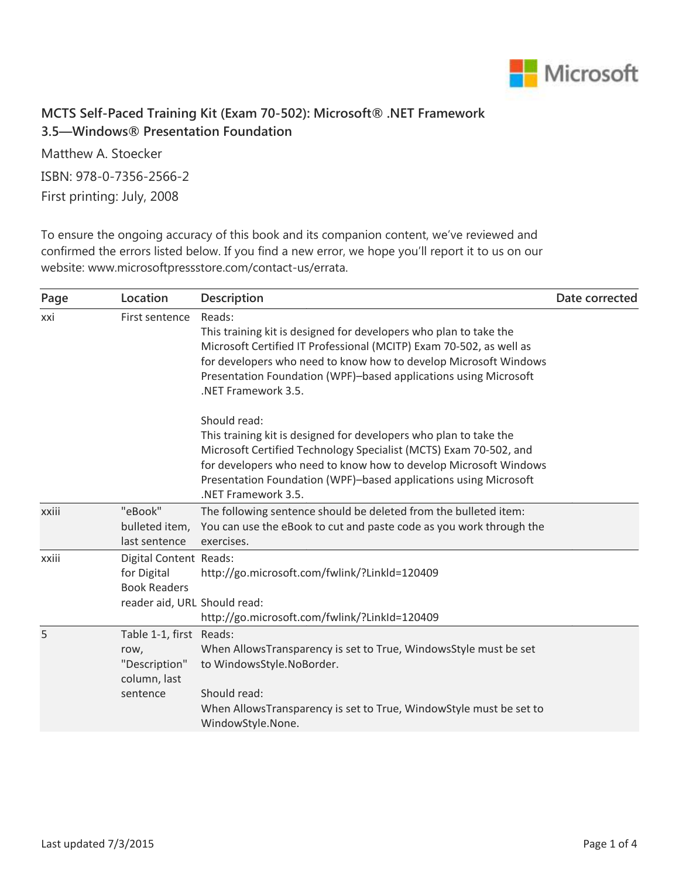

## **MCTS Self-Paced Training Kit (Exam 70-502): Microsoft® .NET Framework 3.5—Windows® Presentation Foundation**

Matthew A. Stoecker ISBN: 978-0-7356-2566-2 First printing: July, 2008

To ensure the ongoing accuracy of this book and its companion content, we've reviewed and confirmed the errors listed below. If you find a new error, we hope you'll report it to us on our website: www.microsoftpressstore.com/contact-us/errata.

| Location                                          | <b>Description</b>                                                                                                                                                                                                                                                                                                    | Date corrected                                                                    |
|---------------------------------------------------|-----------------------------------------------------------------------------------------------------------------------------------------------------------------------------------------------------------------------------------------------------------------------------------------------------------------------|-----------------------------------------------------------------------------------|
| First sentence                                    | Reads:<br>This training kit is designed for developers who plan to take the<br>Microsoft Certified IT Professional (MCITP) Exam 70-502, as well as<br>for developers who need to know how to develop Microsoft Windows<br>Presentation Foundation (WPF)-based applications using Microsoft<br>.NET Framework 3.5.     |                                                                                   |
|                                                   | Should read:<br>This training kit is designed for developers who plan to take the<br>Microsoft Certified Technology Specialist (MCTS) Exam 70-502, and<br>for developers who need to know how to develop Microsoft Windows<br>Presentation Foundation (WPF)-based applications using Microsoft<br>.NET Framework 3.5. |                                                                                   |
| "eBook"<br>bulleted item,<br>last sentence        | The following sentence should be deleted from the bulleted item:<br>You can use the eBook to cut and paste code as you work through the<br>exercises.                                                                                                                                                                 |                                                                                   |
| for Digital<br><b>Book Readers</b>                | http://go.microsoft.com/fwlink/?LinkId=120409<br>http://go.microsoft.com/fwlink/?LinkId=120409                                                                                                                                                                                                                        |                                                                                   |
| row,<br>"Description"<br>column, last<br>sentence | When AllowsTransparency is set to True, WindowsStyle must be set<br>to WindowsStyle.NoBorder.<br>Should read:<br>When AllowsTransparency is set to True, WindowStyle must be set to<br>WindowStyle.None.                                                                                                              |                                                                                   |
|                                                   |                                                                                                                                                                                                                                                                                                                       | Digital Content Reads:<br>reader aid, URL Should read:<br>Table 1-1, first Reads: |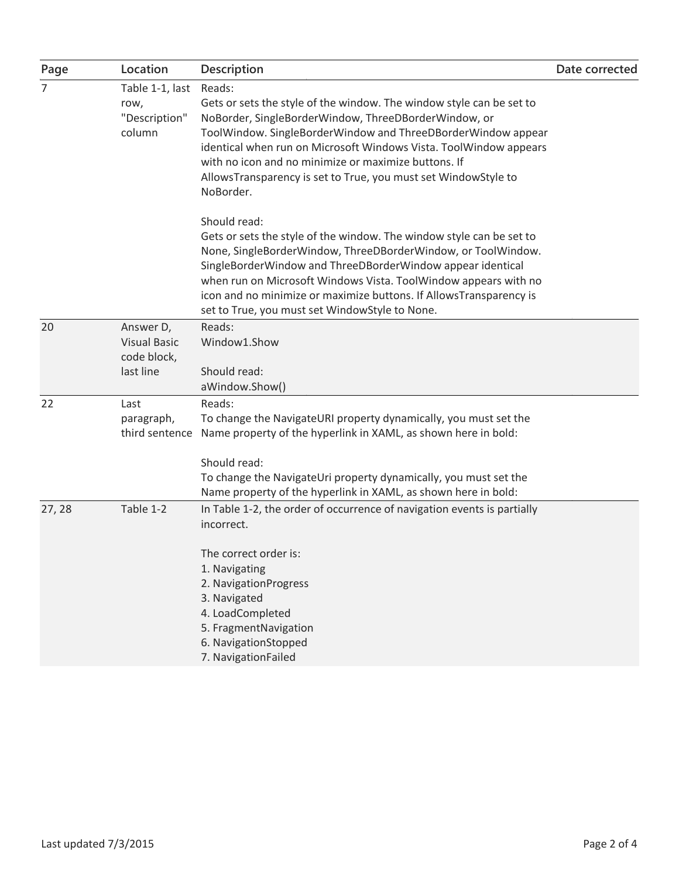| Page           | Location                                                     | Description                                                                                                                                                                                                                                                                                                                                                                                                                        | Date corrected |
|----------------|--------------------------------------------------------------|------------------------------------------------------------------------------------------------------------------------------------------------------------------------------------------------------------------------------------------------------------------------------------------------------------------------------------------------------------------------------------------------------------------------------------|----------------|
| $\overline{7}$ | Table 1-1, last<br>row,<br>"Description"<br>column           | Reads:<br>Gets or sets the style of the window. The window style can be set to<br>NoBorder, SingleBorderWindow, ThreeDBorderWindow, or<br>ToolWindow. SingleBorderWindow and ThreeDBorderWindow appear<br>identical when run on Microsoft Windows Vista. ToolWindow appears<br>with no icon and no minimize or maximize buttons. If<br>AllowsTransparency is set to True, you must set WindowStyle to<br>NoBorder.<br>Should read: |                |
|                |                                                              | Gets or sets the style of the window. The window style can be set to<br>None, SingleBorderWindow, ThreeDBorderWindow, or ToolWindow.<br>SingleBorderWindow and ThreeDBorderWindow appear identical<br>when run on Microsoft Windows Vista. ToolWindow appears with no<br>icon and no minimize or maximize buttons. If AllowsTransparency is<br>set to True, you must set WindowStyle to None.                                      |                |
| 20             | Answer D,<br><b>Visual Basic</b><br>code block,<br>last line | Reads:<br>Window1.Show<br>Should read:<br>aWindow.Show()                                                                                                                                                                                                                                                                                                                                                                           |                |
| 22             | Last<br>paragraph,<br>third sentence                         | Reads:<br>To change the NavigateURI property dynamically, you must set the<br>Name property of the hyperlink in XAML, as shown here in bold:<br>Should read:<br>To change the NavigateUri property dynamically, you must set the<br>Name property of the hyperlink in XAML, as shown here in bold:                                                                                                                                 |                |
| 27, 28         | Table 1-2                                                    | In Table 1-2, the order of occurrence of navigation events is partially<br>incorrect.<br>The correct order is:<br>1. Navigating<br>2. NavigationProgress<br>3. Navigated<br>4. LoadCompleted<br>5. FragmentNavigation<br>6. NavigationStopped<br>7. NavigationFailed                                                                                                                                                               |                |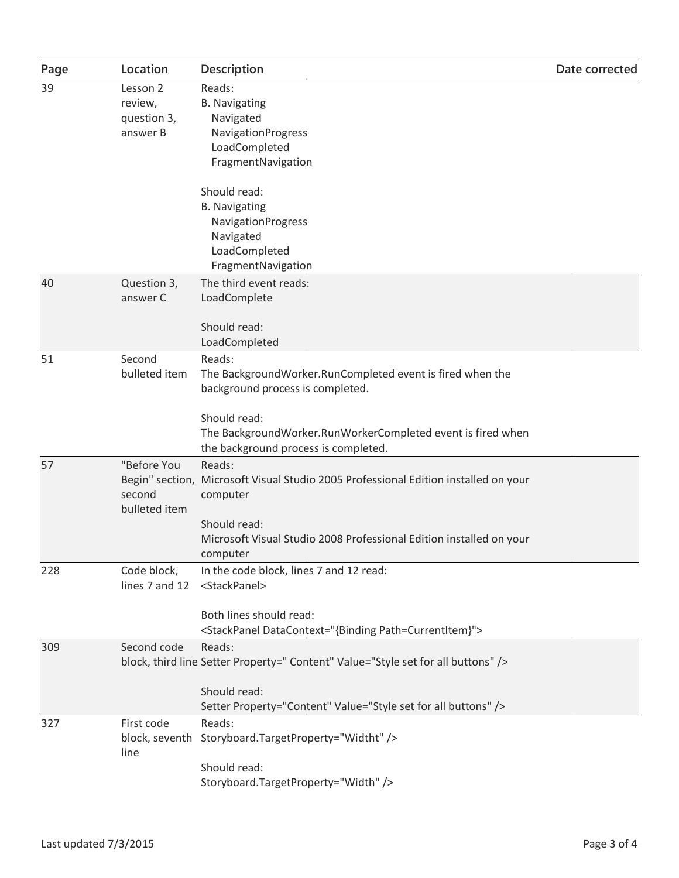| Page | Location       | Description                                                                         | Date corrected |
|------|----------------|-------------------------------------------------------------------------------------|----------------|
| 39   | Lesson 2       | Reads:                                                                              |                |
|      | review,        | <b>B.</b> Navigating                                                                |                |
|      | question 3,    | Navigated                                                                           |                |
|      | answer B       | NavigationProgress                                                                  |                |
|      |                | LoadCompleted                                                                       |                |
|      |                | FragmentNavigation                                                                  |                |
|      |                | Should read:                                                                        |                |
|      |                | <b>B.</b> Navigating                                                                |                |
|      |                | NavigationProgress                                                                  |                |
|      |                | Navigated                                                                           |                |
|      |                | LoadCompleted                                                                       |                |
|      |                | FragmentNavigation                                                                  |                |
| 40   | Question 3,    | The third event reads:                                                              |                |
|      | answer C       | LoadComplete                                                                        |                |
|      |                | Should read:                                                                        |                |
|      |                | LoadCompleted                                                                       |                |
| 51   | Second         | Reads:                                                                              |                |
|      | bulleted item  | The BackgroundWorker.RunCompleted event is fired when the                           |                |
|      |                | background process is completed.                                                    |                |
|      |                |                                                                                     |                |
|      |                | Should read:                                                                        |                |
|      |                | The BackgroundWorker.RunWorkerCompleted event is fired when                         |                |
|      |                | the background process is completed.                                                |                |
| 57   | "Before You    | Reads:                                                                              |                |
|      |                | Begin" section, Microsoft Visual Studio 2005 Professional Edition installed on your |                |
|      | second         | computer                                                                            |                |
|      | bulleted item  |                                                                                     |                |
|      |                | Should read:                                                                        |                |
|      |                | Microsoft Visual Studio 2008 Professional Edition installed on your                 |                |
|      |                | computer                                                                            |                |
| 228  | Code block,    | In the code block, lines 7 and 12 read:                                             |                |
|      | lines 7 and 12 | <stackpanel></stackpanel>                                                           |                |
|      |                |                                                                                     |                |
|      |                | Both lines should read:                                                             |                |
|      |                | <stackpanel datacontext="{Binding Path=CurrentItem}"></stackpanel>                  |                |
| 309  | Second code    | Reads:                                                                              |                |
|      |                | block, third line Setter Property=" Content" Value="Style set for all buttons" />   |                |
|      |                |                                                                                     |                |
|      |                | Should read:                                                                        |                |
|      |                | Setter Property="Content" Value="Style set for all buttons" />                      |                |
| 327  | First code     | Reads:                                                                              |                |
|      |                | block, seventh Storyboard.TargetProperty="Widtht" />                                |                |
|      | line           |                                                                                     |                |
|      |                | Should read:                                                                        |                |
|      |                | Storyboard.TargetProperty="Width" />                                                |                |